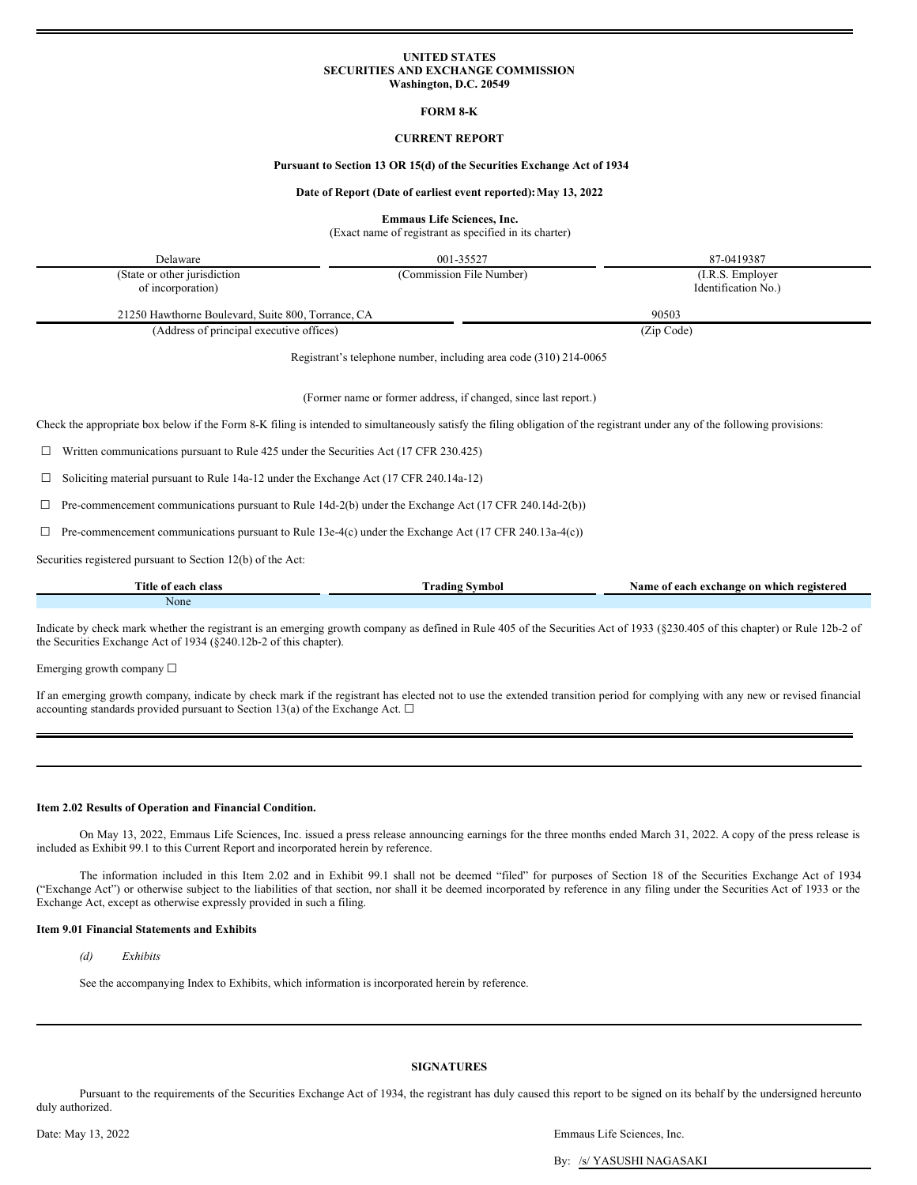### **UNITED STATES SECURITIES AND EXCHANGE COMMISSION Washington, D.C. 20549**

### **FORM 8-K**

## **CURRENT REPORT**

### **Pursuant to Section 13 OR 15(d) of the Securities Exchange Act of 1934**

#### **Date of Report (Date of earliest event reported):May 13, 2022**

**Emmaus Life Sciences, Inc.**

(Exact name of registrant as specified in its charter)

| Delaware                                           | 001-35527                                                         | 87-0419387          |  |  |
|----------------------------------------------------|-------------------------------------------------------------------|---------------------|--|--|
| (State or other jurisdiction                       | (Commission File Number)                                          | (I.R.S. Employer)   |  |  |
| of incorporation)                                  |                                                                   | Identification No.) |  |  |
| 21250 Hawthorne Boulevard, Suite 800, Torrance, CA |                                                                   | 90503               |  |  |
| (Address of principal executive offices)           |                                                                   | (Zip Code)          |  |  |
|                                                    | Registrant's telephone number, including area code (310) 214-0065 |                     |  |  |

(Former name or former address, if changed, since last report.)

Check the appropriate box below if the Form 8-K filing is intended to simultaneously satisfy the filing obligation of the registrant under any of the following provisions:

☐ Written communications pursuant to Rule 425 under the Securities Act (17 CFR 230.425)

☐ Soliciting material pursuant to Rule 14a-12 under the Exchange Act (17 CFR 240.14a-12)

 $\Box$  Pre-commencement communications pursuant to Rule 14d-2(b) under the Exchange Act (17 CFR 240.14d-2(b))

 $\Box$  Pre-commencement communications pursuant to Rule 13e-4(c) under the Exchange Act (17 CFR 240.13a-4(c))

Securities registered pursuant to Section 12(b) of the Act:

| Title of each<br>class | $\sim$<br>$\sim$<br>Frading<br>-Symbol | which registered \,<br>Name of each<br>r exchange<br>∙on |
|------------------------|----------------------------------------|----------------------------------------------------------|
| None                   |                                        |                                                          |

Indicate by check mark whether the registrant is an emerging growth company as defined in Rule 405 of the Securities Act of 1933 (§230.405 of this chapter) or Rule 12b-2 of the Securities Exchange Act of 1934 (§240.12b-2 of this chapter).

Emerging growth company ☐

If an emerging growth company, indicate by check mark if the registrant has elected not to use the extended transition period for complying with any new or revised financial accounting standards provided pursuant to Section 13(a) of the Exchange Act.  $\Box$ 

#### **Item 2.02 Results of Operation and Financial Condition.**

On May 13, 2022, Emmaus Life Sciences, Inc. issued a press release announcing earnings for the three months ended March 31, 2022. A copy of the press release is included as Exhibit 99.1 to this Current Report and incorporated herein by reference.

The information included in this Item 2.02 and in Exhibit 99.1 shall not be deemed "filed" for purposes of Section 18 of the Securities Exchange Act of 1934 ("Exchange Act") or otherwise subject to the liabilities of that section, nor shall it be deemed incorporated by reference in any filing under the Securities Act of 1933 or the Exchange Act, except as otherwise expressly provided in such a filing.

### **Item 9.01 Financial Statements and Exhibits**

*(d) Exhibits*

See the accompanying Index to Exhibits, which information is incorporated herein by reference.

### **SIGNATURES**

Pursuant to the requirements of the Securities Exchange Act of 1934, the registrant has duly caused this report to be signed on its behalf by the undersigned hereunto duly authorized.

Date: May 13, 2022 Emmaus Life Sciences, Inc.

By: /s/ YASUSHI NAGASAKI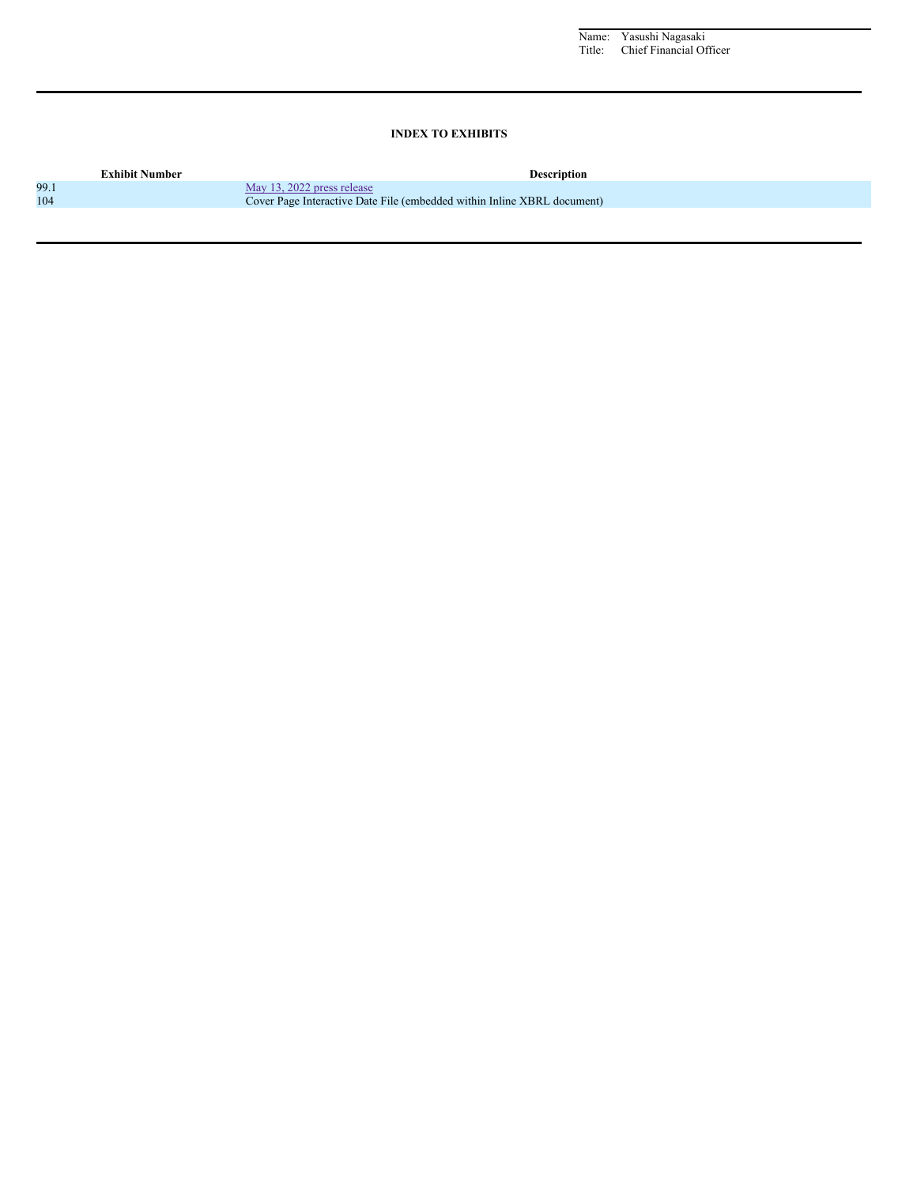Name: Yasushi Nagasaki Title: Chief Financial Officer

# **INDEX TO EXHIBITS**

|      | <b>Exhibit Number</b> | <b>Description</b>                                                      |
|------|-----------------------|-------------------------------------------------------------------------|
| 99.1 |                       | May 13, 2022 press release                                              |
| 104  |                       | Cover Page Interactive Date File (embedded within Inline XBRL document) |
|      |                       |                                                                         |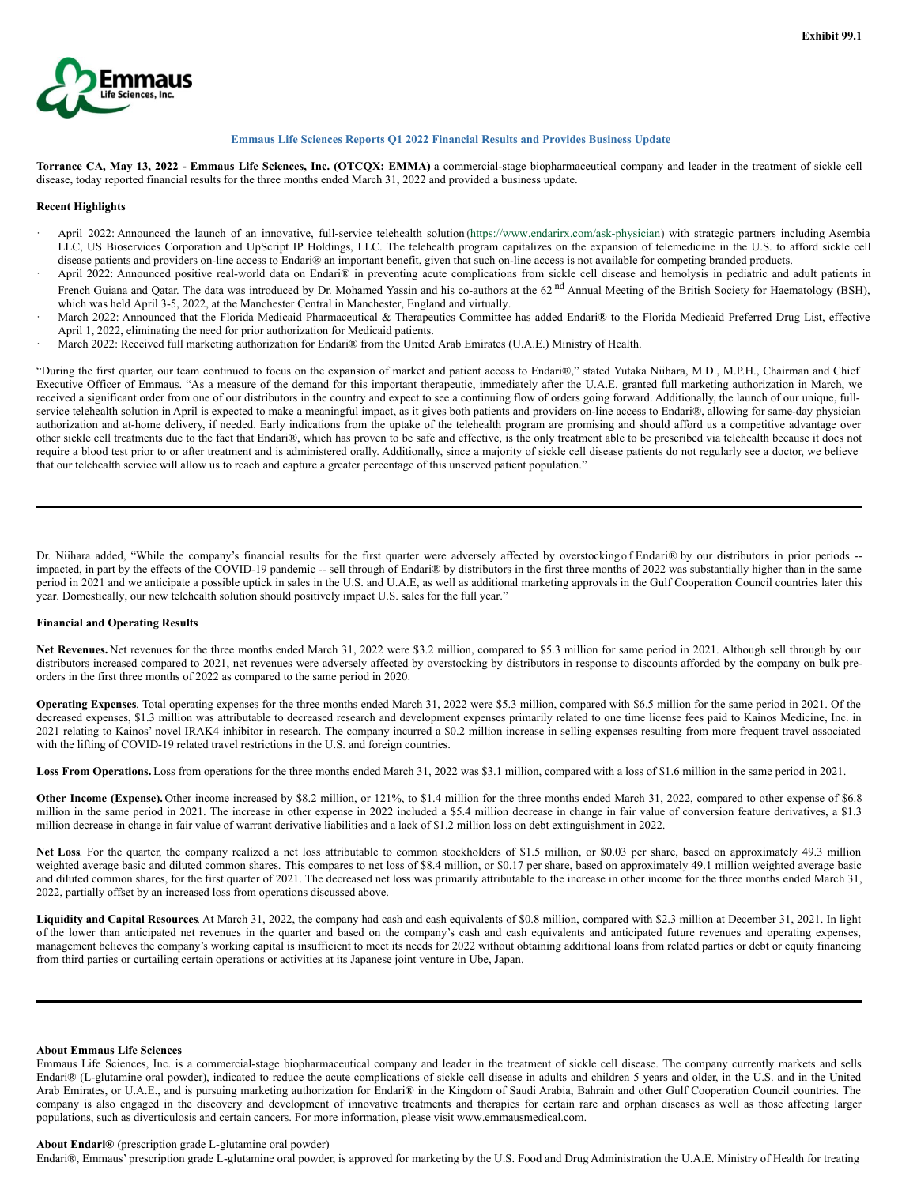

### **Emmaus Life Sciences Reports Q1 2022 Financial Results and Provides Business Update**

Torrance CA, May 13, 2022 - Emmaus Life Sciences, Inc. (OTCQX: EMMA) a commercial-stage biopharmaceutical company and leader in the treatment of sickle cell disease, today reported financial results for the three months ended March 31, 2022 and provided a business update.

## **Recent Highlights**

- April 2022: Announced the launch of an innovative, full-service telehealth solution (https://www.endarirx.com/ask-physician) with strategic partners including Asembia LLC, US Bioservices Corporation and UpScript IP Holdings, LLC. The telehealth program capitalizes on the expansion of telemedicine in the U.S. to afford sickle cell disease patients and providers on-line access to Endari® an important benefit, given that such on-line access is not available for competing branded products.
- · April 2022: Announced positive real-world data on Endari® in preventing acute complications from sickle cell disease and hemolysis in pediatric and adult patients in French Guiana and Qatar. The data was introduced by Dr. Mohamed Yassin and his co-authors at the 62<sup>nd</sup> Annual Meeting of the British Society for Haematology (BSH), which was held April 3-5, 2022, at the Manchester Central in Manchester, England and virtually.
- March 2022: Announced that the Florida Medicaid Pharmaceutical & Therapeutics Committee has added Endari® to the Florida Medicaid Preferred Drug List, effective April 1, 2022, eliminating the need for prior authorization for Medicaid patients.
- · March 2022: Received full marketing authorization for Endari® from the United Arab Emirates (U.A.E.) Ministry of Health.

"During the first quarter, our team continued to focus on the expansion of market and patient access to Endari®," stated Yutaka Niihara, M.D., M.P.H., Chairman and Chief Executive Officer of Emmaus. "As a measure of the demand for this important therapeutic, immediately after the U.A.E. granted full marketing authorization in March, we received a significant order from one of our distributors in the country and expect to see a continuing flow of orders going forward. Additionally, the launch of our unique, fullservice telehealth solution in April is expected to make a meaningful impact, as it gives both patients and providers on-line access to Endari®, allowing for same-day physician authorization and at-home delivery, if needed. Early indications from the uptake of the telehealth program are promising and should afford us a competitive advantage over other sickle cell treatments due to the fact that Endari®, which has proven to be safe and effective, is the only treatment able to be prescribed via telehealth because it does not require a blood test prior to or after treatment and is administered orally. Additionally, since a majority of sickle cell disease patients do not regularly see a doctor, we believe that our telehealth service will allow us to reach and capture a greater percentage of this unserved patient population."

Dr. Niihara added, "While the company's financial results for the first quarter were adversely affected by overstocking of Endari® by our distributors in prior periods -impacted, in part by the effects of the COVID-19 pandemic -- sell through of Endari® by distributors in the first three months of 2022 was substantially higher than in the same period in 2021 and we anticipate a possible uptick in sales in the U.S. and U.A.E, as well as additional marketing approvals in the Gulf Cooperation Council countries later this year. Domestically, our new telehealth solution should positively impact U.S. sales for the full year."

## **Financial and Operating Results**

Net Revenues. Net revenues for the three months ended March 31, 2022 were \$3.2 million, compared to \$5.3 million for same period in 2021. Although sell through by our distributors increased compared to 2021, net revenues were adversely affected by overstocking by distributors in response to discounts afforded by the company on bulk preorders in the first three months of 2022 as compared to the same period in 2020.

**Operating Expenses**. Total operating expenses for the three months ended March 31, 2022 were \$5.3 million, compared with \$6.5 million for the same period in 2021. Of the decreased expenses, \$1.3 million was attributable to decreased research and development expenses primarily related to one time license fees paid to Kainos Medicine, Inc. in 2021 relating to Kainos' novel IRAK4 inhibitor in research. The company incurred a \$0.2 million increase in selling expenses resulting from more frequent travel associated with the lifting of COVID-19 related travel restrictions in the U.S. and foreign countries.

**Loss From Operations.** Loss from operations for the three months ended March 31, 2022 was \$3.1 million, compared with a loss of \$1.6 million in the same period in 2021.

**Other Income (Expense).** Other income increased by \$8.2 million, or 121%, to \$1.4 million for the three months ended March 31, 2022, compared to other expense of \$6.8 million in the same period in 2021. The increase in other expense in 2022 included a \$5.4 million decrease in change in fair value of conversion feature derivatives, a \$1.3 million decrease in change in fair value of warrant derivative liabilities and a lack of \$1.2 million loss on debt extinguishment in 2022.

**Net Loss**. For the quarter, the company realized a net loss attributable to common stockholders of \$1.5 million, or \$0.03 per share, based on approximately 49.3 million weighted average basic and diluted common shares. This compares to net loss of \$8.4 million, or \$0.17 per share, based on approximately 49.1 million weighted average basic and diluted common shares, for the first quarter of 2021. The decreased net loss was primarily attributable to the increase in other income for the three months ended March 31, 2022, partially offset by an increased loss from operations discussed above.

**Liquidity and Capital Resources**. At March 31, 2022, the company had cash and cash equivalents of \$0.8 million, compared with \$2.3 million at December 31, 2021. In light of the lower than anticipated net revenues in the quarter and based on the company's cash and cash equivalents and anticipated future revenues and operating expenses, management believes the company's working capital is insufficient to meet its needs for 2022 without obtaining additional loans from related parties or debt or equity financing from third parties or curtailing certain operations or activities at its Japanese joint venture in Ube, Japan.

### **About Emmaus Life Sciences**

Emmaus Life Sciences, Inc. is a commercial-stage biopharmaceutical company and leader in the treatment of sickle cell disease. The company currently markets and sells Endari® (L-glutamine oral powder), indicated to reduce the acute complications of sickle cell disease in adults and children 5 years and older, in the U.S. and in the United Arab Emirates, or U.A.E., and is pursuing marketing authorization for Endari® in the Kingdom of Saudi Arabia, Bahrain and other Gulf Cooperation Council countries. The company is also engaged in the discovery and development of innovative treatments and therapies for certain rare and orphan diseases as well as those affecting larger populations, such as diverticulosis and certain cancers. For more information, please visit www.emmausmedical.com.

## **About Endari®** (prescription grade L-glutamine oral powder)

Endari®, Emmaus' prescription grade L-glutamine oral powder, is approved for marketing by the U.S. Food and Drug Administration the U.A.E. Ministry of Health for treating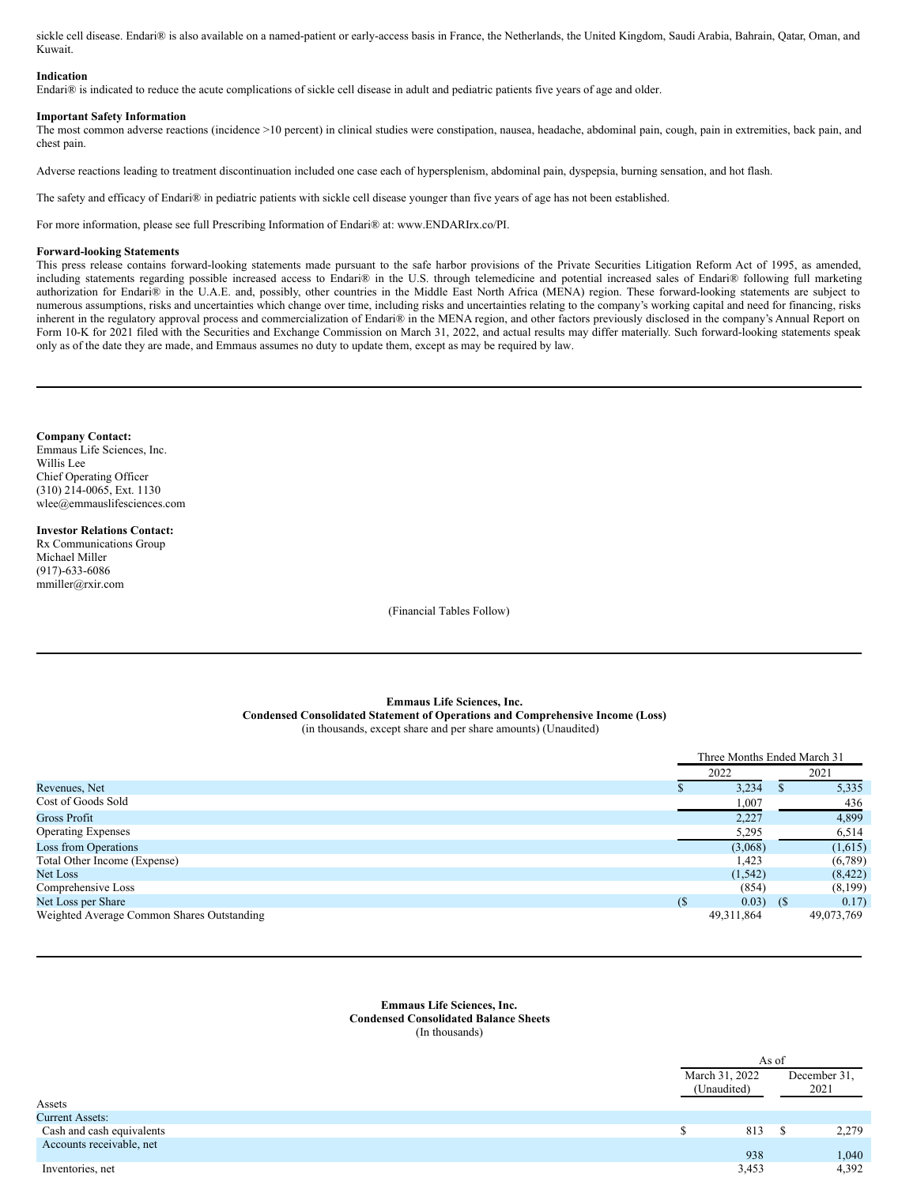<span id="page-3-0"></span>sickle cell disease. Endari® is also available on a named-patient or early-access basis in France, the Netherlands, the United Kingdom, Saudi Arabia, Bahrain, Qatar, Oman, and Kuwait.

### **Indication**

Endari® is indicated to reduce the acute complications of sickle cell disease in adult and pediatric patients five years of age and older.

### **Important Safety Information**

The most common adverse reactions (incidence >10 percent) in clinical studies were constipation, nausea, headache, abdominal pain, cough, pain in extremities, back pain, and chest pain.

Adverse reactions leading to treatment discontinuation included one case each of hypersplenism, abdominal pain, dyspepsia, burning sensation, and hot flash.

The safety and efficacy of Endari® in pediatric patients with sickle cell disease younger than five years of age has not been established.

For more information, please see full Prescribing Information of Endari® at: www.ENDARIrx.co/PI.

#### **Forward-looking Statements**

This press release contains forward-looking statements made pursuant to the safe harbor provisions of the Private Securities Litigation Reform Act of 1995, as amended, including statements regarding possible increased access to Endari® in the U.S. through telemedicine and potential increased sales of Endari® following full marketing authorization for Endari® in the U.A.E. and, possibly, other countries in the Middle East North Africa (MENA) region. These forward-looking statements are subject to numerous assumptions, risks and uncertainties which change over time, including risks and uncertainties relating to the company's working capital and need for financing, risks inherent in the regulatory approval process and commercialization of Endari® in the MENA region, and other factors previously disclosed in the company's Annual Report on Form 10-K for 2021 filed with the Securities and Exchange Commission on March 31, 2022, and actual results may differ materially. Such forward-looking statements speak only as of the date they are made, and Emmaus assumes no duty to update them, except as may be required by law.

### **Company Contact:**

Emmaus Life Sciences, Inc. Willis Lee Chief Operating Officer (310) 214-0065, Ext. 1130 wlee@emmauslifesciences.com

#### **Investor Relations Contact:**

Rx Communications Group Michael Miller (917)-633-6086 mmiller@rxir.com

(Financial Tables Follow)

#### **Emmaus Life Sciences, Inc. Condensed Consolidated Statement of Operations and Comprehensive Income (Loss)** (in thousands, except share and per share amounts) (Unaudited)

|                                            |    | Three Months Ended March 31 |    |            |
|--------------------------------------------|----|-----------------------------|----|------------|
|                                            |    | 2022                        |    | 2021       |
| Revenues, Net                              |    | 3,234                       |    | 5,335      |
| Cost of Goods Sold                         |    | 1,007                       |    | 436        |
| Gross Profit                               |    | 2.227                       |    | 4,899      |
| <b>Operating Expenses</b>                  |    | 5,295                       |    | 6,514      |
| Loss from Operations                       |    | (3,068)                     |    | (1,615)    |
| Total Other Income (Expense)               |    | 1,423                       |    | (6,789)    |
| Net Loss                                   |    | (1, 542)                    |    | (8,422)    |
| Comprehensive Loss                         |    | (854)                       |    | (8,199)    |
| Net Loss per Share                         | (S | 0.03)                       | (S | 0.17)      |
| Weighted Average Common Shares Outstanding |    | 49, 311, 864                |    | 49,073,769 |

**Emmaus Life Sciences, Inc. Condensed Consolidated Balance Sheets** (In thousands)

|                           |   | As of                         |  |                      |  |
|---------------------------|---|-------------------------------|--|----------------------|--|
| Assets                    |   | March 31, 2022<br>(Unaudited) |  | December 31,<br>2021 |  |
| Current Assets:           |   |                               |  |                      |  |
|                           |   |                               |  |                      |  |
| Cash and cash equivalents | S | 813                           |  | 2,279                |  |
| Accounts receivable, net  |   |                               |  |                      |  |
|                           |   | 938                           |  | 1,040                |  |
| Inventories, net          |   | 3,453                         |  | 4,392                |  |
|                           |   |                               |  |                      |  |